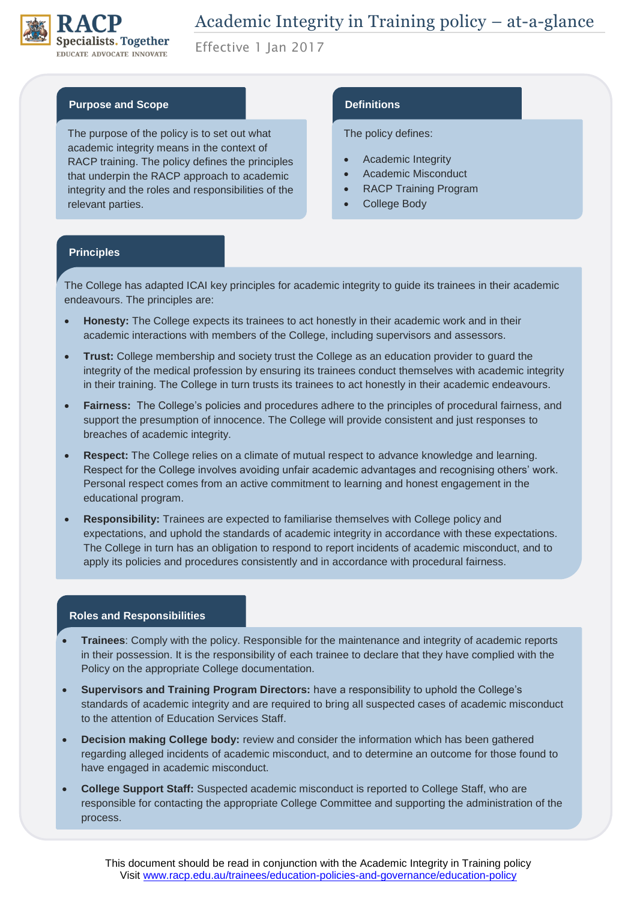

Effective 1 Jan 2017

### **Purpose and Scope**

The purpose of the policy is to set out what academic integrity means in the context of RACP training. The policy defines the principles that underpin the RACP approach to academic integrity and the roles and responsibilities of the relevant parties.

## **Definitions**

#### The policy defines:

- Academic Integrity
- Academic Misconduct
- RACP Training Program
- College Body

#### **Principles**

The College has adapted ICAI key principles for academic integrity to guide its trainees in their academic endeavours. The principles are:

- **Honesty:** The College expects its trainees to act honestly in their academic work and in their academic interactions with members of the College, including supervisors and assessors.
- **Trust:** College membership and society trust the College as an education provider to guard the integrity of the medical profession by ensuring its trainees conduct themselves with academic integrity in their training. The College in turn trusts its trainees to act honestly in their academic endeavours.
- **Fairness:** The College's policies and procedures adhere to the principles of procedural fairness, and support the presumption of innocence. The College will provide consistent and just responses to breaches of academic integrity.
- **Respect:** The College relies on a climate of mutual respect to advance knowledge and learning. Respect for the College involves avoiding unfair academic advantages and recognising others' work. Personal respect comes from an active commitment to learning and honest engagement in the educational program.
- **Responsibility:** Trainees are expected to familiarise themselves with College policy and expectations, and uphold the standards of academic integrity in accordance with these expectations. The College in turn has an obligation to respond to report incidents of academic misconduct, and to apply its policies and procedures consistently and in accordance with procedural fairness.

#### **Roles and Responsibilities**

- **Trainees**: Comply with the policy. Responsible for the maintenance and integrity of academic reports in their possession. It is the responsibility of each trainee to declare that they have complied with the Policy on the appropriate College documentation.
- **Supervisors and Training Program Directors:** have a responsibility to uphold the College's standards of academic integrity and are required to bring all suspected cases of academic misconduct to the attention of Education Services Staff.
- **Decision making College body:** review and consider the information which has been gathered regarding alleged incidents of academic misconduct, and to determine an outcome for those found to have engaged in academic misconduct.
- **College Support Staff:** Suspected academic misconduct is reported to College Staff, who are responsible for contacting the appropriate College Committee and supporting the administration of the process.

This document should be read in conjunction with the Academic Integrity in Training policy Visit<www.racp.edu.au/trainees/education-policies-and-governance/education-policy>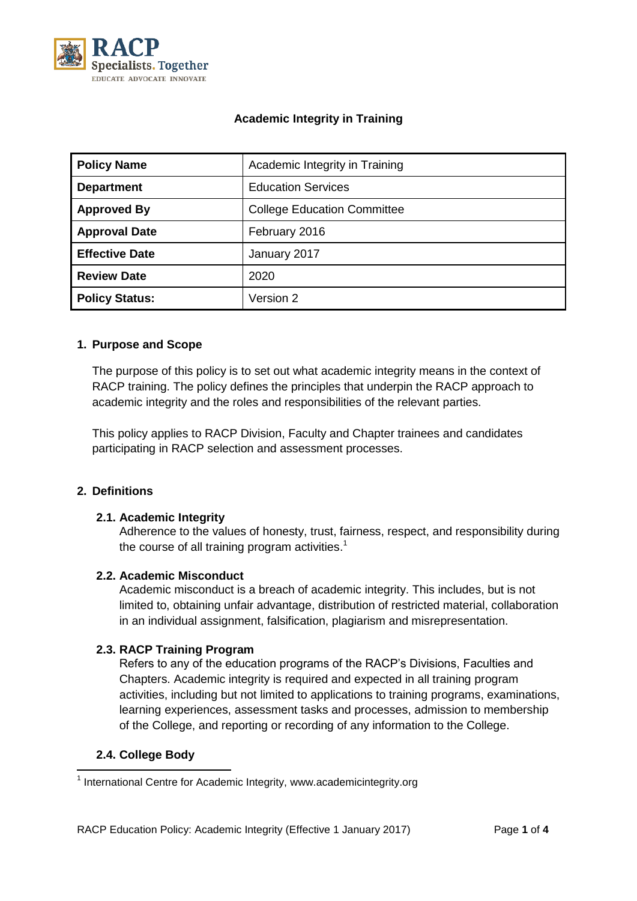

# **Academic Integrity in Training**

| <b>Policy Name</b>    | Academic Integrity in Training     |  |  |
|-----------------------|------------------------------------|--|--|
| <b>Department</b>     | <b>Education Services</b>          |  |  |
| <b>Approved By</b>    | <b>College Education Committee</b> |  |  |
| <b>Approval Date</b>  | February 2016                      |  |  |
| <b>Effective Date</b> | January 2017                       |  |  |
| <b>Review Date</b>    | 2020                               |  |  |
| <b>Policy Status:</b> | Version 2                          |  |  |

### **1. Purpose and Scope**

The purpose of this policy is to set out what academic integrity means in the context of RACP training. The policy defines the principles that underpin the RACP approach to academic integrity and the roles and responsibilities of the relevant parties.

This policy applies to RACP Division, Faculty and Chapter trainees and candidates participating in RACP selection and assessment processes.

## **2. Definitions**

## **2.1. Academic Integrity**

Adherence to the values of honesty, trust, fairness, respect, and responsibility during the course of all training program activities.<sup>1</sup>

#### **2.2. Academic Misconduct**

Academic misconduct is a breach of academic integrity. This includes, but is not limited to, obtaining unfair advantage, distribution of restricted material, collaboration in an individual assignment, falsification, plagiarism and misrepresentation.

## **2.3. RACP Training Program**

Refers to any of the education programs of the RACP's Divisions, Faculties and Chapters. Academic integrity is required and expected in all training program activities, including but not limited to applications to training programs, examinations, learning experiences, assessment tasks and processes, admission to membership of the College, and reporting or recording of any information to the College.

## **2.4. College Body**

 1 International Centre for Academic Integrity, www.academicintegrity.org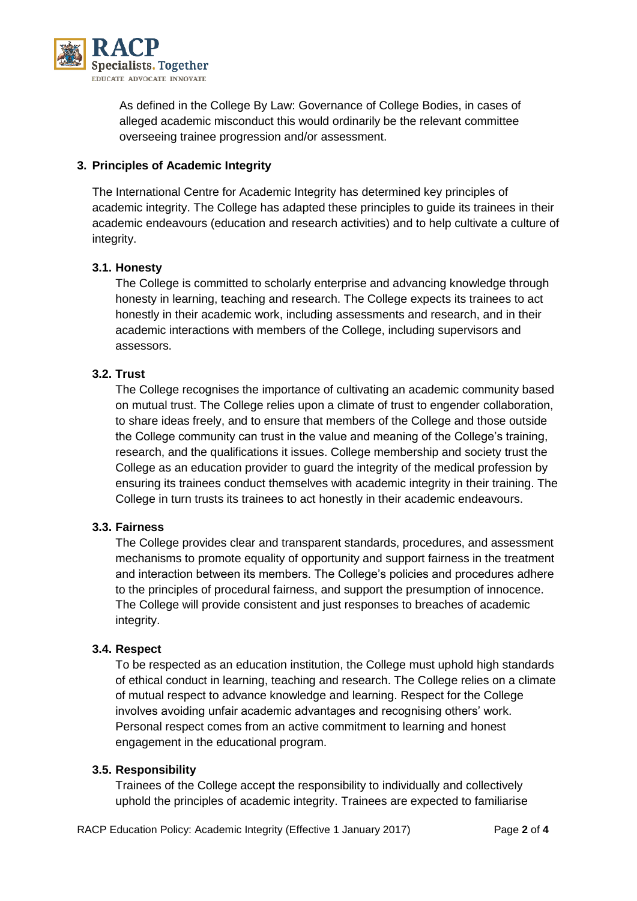

As defined in the College By Law: Governance of College Bodies, in cases of alleged academic misconduct this would ordinarily be the relevant committee overseeing trainee progression and/or assessment.

## **3. Principles of Academic Integrity**

The International Centre for Academic Integrity has determined key principles of academic integrity. The College has adapted these principles to guide its trainees in their academic endeavours (education and research activities) and to help cultivate a culture of integrity.

## **3.1. Honesty**

The College is committed to scholarly enterprise and advancing knowledge through honesty in learning, teaching and research. The College expects its trainees to act honestly in their academic work, including assessments and research, and in their academic interactions with members of the College, including supervisors and assessors.

## **3.2. Trust**

The College recognises the importance of cultivating an academic community based on mutual trust. The College relies upon a climate of trust to engender collaboration, to share ideas freely, and to ensure that members of the College and those outside the College community can trust in the value and meaning of the College's training, research, and the qualifications it issues. College membership and society trust the College as an education provider to guard the integrity of the medical profession by ensuring its trainees conduct themselves with academic integrity in their training. The College in turn trusts its trainees to act honestly in their academic endeavours.

## **3.3. Fairness**

The College provides clear and transparent standards, procedures, and assessment mechanisms to promote equality of opportunity and support fairness in the treatment and interaction between its members. The College's policies and procedures adhere to the principles of procedural fairness, and support the presumption of innocence. The College will provide consistent and just responses to breaches of academic integrity.

## **3.4. Respect**

To be respected as an education institution, the College must uphold high standards of ethical conduct in learning, teaching and research. The College relies on a climate of mutual respect to advance knowledge and learning. Respect for the College involves avoiding unfair academic advantages and recognising others' work. Personal respect comes from an active commitment to learning and honest engagement in the educational program.

## **3.5. Responsibility**

Trainees of the College accept the responsibility to individually and collectively uphold the principles of academic integrity. Trainees are expected to familiarise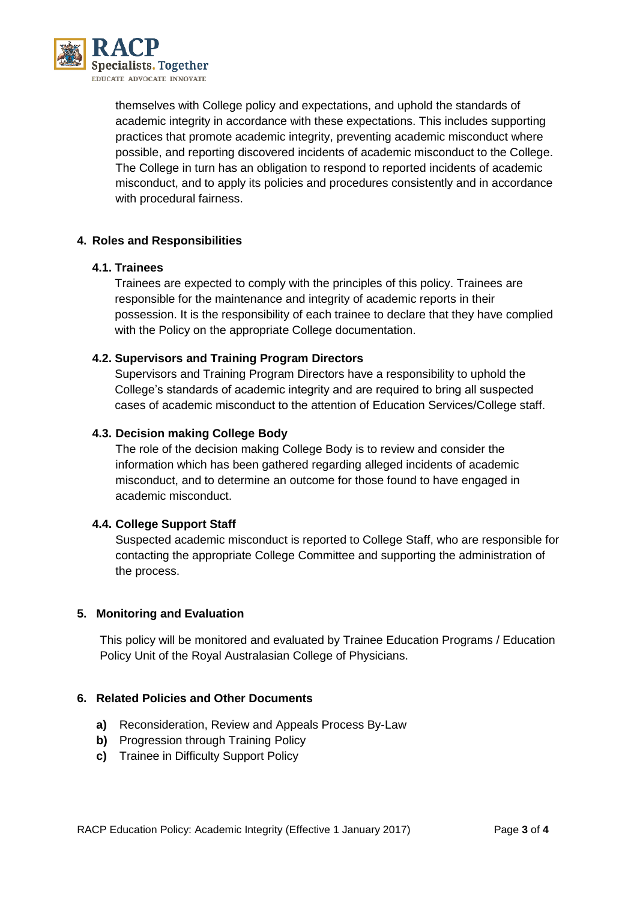

themselves with College policy and expectations, and uphold the standards of academic integrity in accordance with these expectations. This includes supporting practices that promote academic integrity, preventing academic misconduct where possible, and reporting discovered incidents of academic misconduct to the College. The College in turn has an obligation to respond to reported incidents of academic misconduct, and to apply its policies and procedures consistently and in accordance with procedural fairness.

## **4. Roles and Responsibilities**

### **4.1. Trainees**

Trainees are expected to comply with the principles of this policy. Trainees are responsible for the maintenance and integrity of academic reports in their possession. It is the responsibility of each trainee to declare that they have complied with the Policy on the appropriate College documentation.

## **4.2. Supervisors and Training Program Directors**

Supervisors and Training Program Directors have a responsibility to uphold the College's standards of academic integrity and are required to bring all suspected cases of academic misconduct to the attention of Education Services/College staff.

## **4.3. Decision making College Body**

The role of the decision making College Body is to review and consider the information which has been gathered regarding alleged incidents of academic misconduct, and to determine an outcome for those found to have engaged in academic misconduct.

## **4.4. College Support Staff**

Suspected academic misconduct is reported to College Staff, who are responsible for contacting the appropriate College Committee and supporting the administration of the process.

## **5. Monitoring and Evaluation**

This policy will be monitored and evaluated by Trainee Education Programs / Education Policy Unit of the Royal Australasian College of Physicians.

## **6. Related Policies and Other Documents**

- **a)** Reconsideration, Review and Appeals Process By-Law
- **b)** Progression through Training Policy
- **c)** Trainee in Difficulty Support Policy